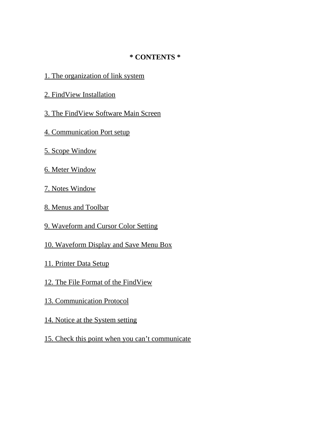## **\* CONTENTS \***

- 1. The organization of link system
- 2. FindView Installation
- 3. The FindView Software Main Screen
- 4. Communication Port setup
- 5. Scope Window
- 6. Meter Window
- 7. Notes Window
- 8. Menus and Toolbar
- 9. Waveform and Cursor Color Setting
- 10. Waveform Display and Save Menu Box
- 11. Printer Data Setup
- 12. The File Format of the FindView
- 13. Communication Protocol
- 14. Notice at the System setting
- 15. Check this point when you can't communicate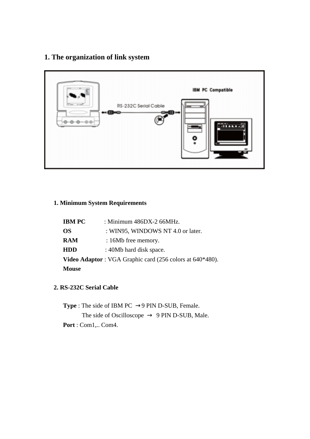# **1. The organization of link system**



## **1. Minimum System Requirements**

| <b>IBM PC</b> | : Minimum 486DX-2 66MHz.                                                     |
|---------------|------------------------------------------------------------------------------|
| OS.           | : WIN95, WINDOWS NT 4.0 or later.                                            |
| RAM           | : 16Mb free memory.                                                          |
| <b>HDD</b>    | : 40Mb hard disk space.                                                      |
|               | <b>Video Adaptor</b> : VGA Graphic card $(256 \text{ colors at } 640*480)$ . |
| <b>Mouse</b>  |                                                                              |

### **2. RS-232C Serial Cable**

**Type** : The side of IBM PC 9 PIN D-SUB, Female. The side of Oscilloscope 9 PIN D-SUB, Male. **Port** : Com1,.. Com4.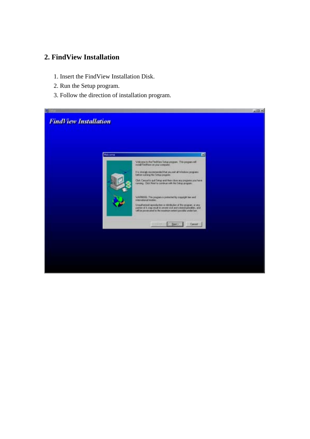## **2. FindView Installation**

- 1. Insert the FindView Installation Disk.
- 2. Run the Setup program.
- 3. Follow the direction of installation program.

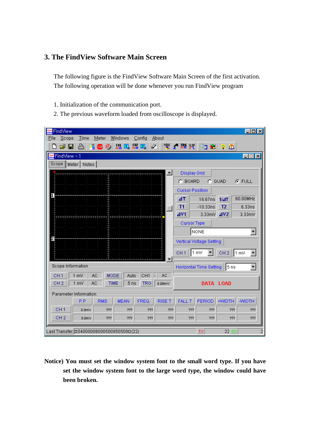## **3. The FindView Software Main Screen**

 The following figure is the FindView Software Main Screen of the first activation. The following operation will be done whenever you run FindView program

- 1. Initialization of the communication port.
- 2. The previous waveform loaded from oscilloscope is displayed.

| 脚 FindView                  |                                                                |                                         |                         |                 |                   |                          |                                |                | $\Box$ olxi            |
|-----------------------------|----------------------------------------------------------------|-----------------------------------------|-------------------------|-----------------|-------------------|--------------------------|--------------------------------|----------------|------------------------|
| $S$ cope<br>File            | Time                                                           | Meter                                   | Windows                 | Config          | About             |                          |                                |                |                        |
| ▯空◨                         | $\mathbb{B}$                                                   | 看睡问                                     | <u>있는 그 있는 그</u>        |                 |                   |                          | 2 4 3 6 4 3                    |                |                        |
| <mark>體</mark> FindView - 1 |                                                                |                                         |                         |                 |                   |                          |                                |                | $\Box$ $\Box$ $\times$ |
|                             | Scope    Meter    Notes                                        |                                         |                         |                 |                   |                          |                                |                |                        |
|                             |                                                                |                                         |                         |                 | $\blacktriangle$  | <b>Display Grid</b>      |                                |                |                        |
|                             |                                                                |                                         |                         |                 |                   | C BOARD                  |                                | $C$ QUAD       | $F$ FULL               |
|                             |                                                                |                                         |                         |                 |                   | <b>Cursor Position</b>   |                                |                |                        |
|                             |                                                                |                                         |                         |                 |                   | ΔT                       | 16.67ns                        | 1/4T           | 60.00MHz               |
|                             |                                                                |                                         |                         |                 |                   | <b>T1</b>                | $-10.33ns$                     | T <sub>2</sub> | 6.33ns                 |
|                             |                                                                |                                         |                         |                 |                   | 4V1                      | 3.33mV 4V2                     |                | 3.33mV                 |
|                             |                                                                |                                         |                         |                 |                   | <b>Cursor Type</b>       |                                |                |                        |
|                             |                                                                |                                         |                         |                 |                   |                          | NONE                           |                |                        |
|                             |                                                                |                                         |                         |                 |                   |                          | Vertical Voltage Setting       |                |                        |
|                             |                                                                |                                         |                         |                 |                   |                          |                                |                |                        |
|                             | <u>too in onimain oin ottoo in oin oin oin o</u>               |                                         |                         |                 |                   | ∭1 mV<br>CH <sub>1</sub> |                                | CH $2$   1 mV  |                        |
| Scope Information           |                                                                |                                         |                         |                 |                   |                          | <b>Horizontal Time Setting</b> | ∭l5 ns         |                        |
|                             |                                                                |                                         |                         |                 |                   |                          |                                |                |                        |
| CH <sub>1</sub>             | 1 mV                                                           | <b>AC</b><br><b>MODE</b><br><b>TIME</b> | Auto<br>5 <sub>ns</sub> | CH <sub>1</sub> | AC.               |                          |                                |                |                        |
| CH <sub>2</sub>             | 1 mV                                                           | AC.                                     |                         | <b>TRG</b>      | 0.00 <sub>m</sub> |                          | DATA LOAD                      |                |                        |
|                             | Parameter Information                                          |                                         |                         |                 |                   |                          |                                |                |                        |
|                             | P.P                                                            | <b>RMS</b>                              | <b>MEAN</b>             | FREQ.           | <b>RISE T</b>     | <b>FALL T</b>            | PERIOD                         | +WIDTH         | -WIDTH                 |
| CH <sub>1</sub>             | 0.0 <sub>m</sub>                                               | 77?                                     | 77?                     | 77?             | 999               | 999                      | 999                            | 999            | ???                    |
| CH <sub>2</sub>             | 0.0 <sub>m</sub>                                               | 77?                                     | 999                     | 77?             | 77?               | 999                      | 999                            | 999            | 77?                    |
|                             |                                                                |                                         |                         |                 |                   |                          |                                |                |                        |
|                             | 22 RX<br>2<br>Last Transfer. 0040000080005009505080(22)<br>TX. |                                         |                         |                 |                   |                          |                                |                |                        |

**Notice) You must set the window system font to the small word type. If you have set the window system font to the large word type, the window could have been broken.**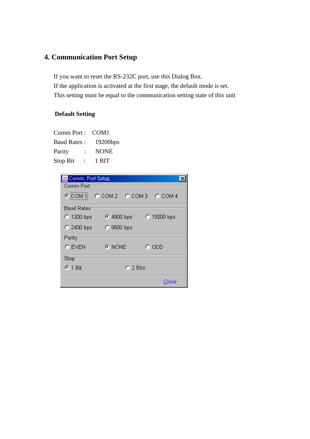# **4. Communication Port Setup**

 If you want to reset the RS-232C port, use this Dialog Box. If the application is activated at the first stage, the default mode is set. This setting must be equal to the communication setting state of this unit

## **Default Setting**

| Comm Port :        | COM <sub>1</sub> |
|--------------------|------------------|
| <b>Baud Rates:</b> | $19200$ bps      |
| Parity             | <b>NONE</b>      |
| Stop Bit           | 1 BIT            |

| <b>Re</b> Comm, Port Setup, |                            |  |
|-----------------------------|----------------------------|--|
| Comm Port                   |                            |  |
|                             | CCOM1 CCOM2 CCOM3 CCOM4    |  |
| Baud Rates:                 |                            |  |
| $C$ 1200 bps                | $C$ 4800 bps $C$ 19200 bps |  |
|                             | C 2400 bps C 9600 bps      |  |
| Parity <sup>.</sup>         |                            |  |
| $C$ EVEN                    | G NONE<br>$\degree$ ODD    |  |
| Stop                        |                            |  |
| $6.1$ Bit                   | $\cap$ 2 Bits              |  |
|                             | Close                      |  |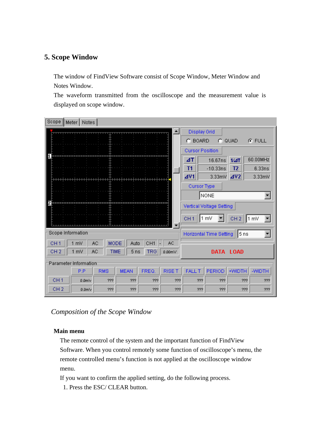## **5. Scope Window**

 The window of FindView Software consist of Scope Window, Meter Window and Notes Window.

The waveform transmitted from the oscilloscope and the measurement value is displayed on scope window.

| Scope             | Meter   Notes         |             |                                  |                 |                   |                                                                         |                                 |                                 |                              |
|-------------------|-----------------------|-------------|----------------------------------|-----------------|-------------------|-------------------------------------------------------------------------|---------------------------------|---------------------------------|------------------------------|
|                   |                       |             |                                  |                 | $\blacktriangle$  | <b>Display Grid</b><br>$C$ BOARD                                        |                                 | $C$ QUAD                        | <b>G</b> FULL                |
|                   |                       |             | <del>1   1   1   1   1   1</del> |                 |                   | <b>Cursor Position</b><br>$\Delta T$<br>T1<br>4V1<br><b>Cursor Type</b> | 16.67ns<br>$-10.33ns$<br>3.33mV | 1/4T<br>T <sub>2</sub><br>4V2   | 60.00MHz<br>6.33ns<br>3.33mV |
|                   |                       |             |                                  |                 |                   |                                                                         | <b>NONE</b>                     |                                 |                              |
|                   |                       |             |                                  |                 |                   |                                                                         | Vertical Voltage Setting        |                                 |                              |
|                   |                       |             |                                  |                 |                   | CH <sub>1</sub>                                                         | ∥1 mV                           | CH $2$    1 mV                  |                              |
| Scope Information |                       |             |                                  |                 |                   |                                                                         |                                 | Horizontal Time Setting    5 ns |                              |
| CH <sub>1</sub>   | AC<br>1 mV            | <b>MODE</b> | Auto                             | CH <sub>1</sub> | AC                |                                                                         |                                 |                                 |                              |
| CH <sub>2</sub>   | 1 mV<br>АC            | <b>TIME</b> | 5 <sub>ns</sub>                  | <b>TRG</b>      | 0.00 <sub>m</sub> |                                                                         |                                 | DATA LOAD                       |                              |
|                   | Parameter Information |             |                                  |                 |                   |                                                                         |                                 |                                 |                              |
|                   | P.P                   | <b>RMS</b>  | <b>MEAN</b>                      | FREQ.           | <b>RISE T</b>     | <b>FALL T</b>                                                           | PERIOD                          | +WIDTH                          | -WIDTH                       |
| CH <sub>1</sub>   | 0.0 <sub>m</sub>      | ???         | ???                              | 999             | 333               | 333                                                                     | 77?                             | ???                             | 77?                          |
| CH <sub>2</sub>   | 0.0 <sub>m</sub>      | 999         | 999                              | 999             | ???               | 77?                                                                     | 999                             | 999                             | 77?                          |

 *Composition of the Scope Window* 

#### **Main menu**

 The remote control of the system and the important function of FindView Software. When you control remotely some function of oscilloscope's menu, the remote controlled menu's function is not applied at the oscilloscope window menu.

If you want to confirm the applied setting, do the following process.

1. Press the ESC/ CLEAR button.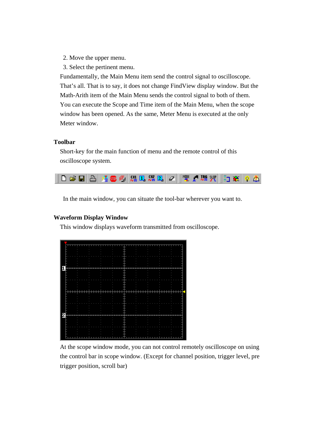- 2. Move the upper menu.
- 3. Select the pertinent menu.

 Fundamentally, the Main Menu item send the control signal to oscilloscope. That's all. That is to say, it does not change FindView display window. But the Math-Arith item of the Main Menu sends the control signal to both of them. You can execute the Scope and Time item of the Main Menu, when the scope window has been opened. As the same, Meter Menu is executed at the only Meter window.

#### **Toolbar**

 Short-key for the main function of menu and the remote control of this oscilloscope system.



In the main window, you can situate the tool-bar wherever you want to.

#### **Waveform Display Window**

This window displays waveform transmitted from oscilloscope.

|  |  |  |  |  | 1 1 1 1 1 |  |   | <b>11111</b><br>┎┎┎ |   |  |  |  | 1.1.1 |  |   | 1111 |  |  |  |  |  |  |  |  |
|--|--|--|--|--|-----------|--|---|---------------------|---|--|--|--|-------|--|---|------|--|--|--|--|--|--|--|--|
|  |  |  |  |  |           |  |   |                     |   |  |  |  |       |  |   |      |  |  |  |  |  |  |  |  |
|  |  |  |  |  |           |  |   |                     |   |  |  |  |       |  |   |      |  |  |  |  |  |  |  |  |
|  |  |  |  |  |           |  |   |                     |   |  |  |  |       |  |   |      |  |  |  |  |  |  |  |  |
|  |  |  |  |  |           |  |   |                     |   |  |  |  |       |  |   |      |  |  |  |  |  |  |  |  |
|  |  |  |  |  |           |  |   |                     |   |  |  |  |       |  |   |      |  |  |  |  |  |  |  |  |
|  |  |  |  |  |           |  |   |                     |   |  |  |  |       |  |   |      |  |  |  |  |  |  |  |  |
|  |  |  |  |  |           |  |   |                     |   |  |  |  |       |  |   |      |  |  |  |  |  |  |  |  |
|  |  |  |  |  |           |  |   |                     |   |  |  |  |       |  |   |      |  |  |  |  |  |  |  |  |
|  |  |  |  |  |           |  | ٠ |                     | ٠ |  |  |  |       |  | ٠ |      |  |  |  |  |  |  |  |  |
|  |  |  |  |  |           |  |   |                     |   |  |  |  |       |  |   |      |  |  |  |  |  |  |  |  |
|  |  |  |  |  |           |  |   |                     |   |  |  |  |       |  |   |      |  |  |  |  |  |  |  |  |
|  |  |  |  |  |           |  |   |                     |   |  |  |  |       |  |   |      |  |  |  |  |  |  |  |  |
|  |  |  |  |  |           |  |   |                     |   |  |  |  |       |  |   |      |  |  |  |  |  |  |  |  |
|  |  |  |  |  |           |  |   |                     |   |  |  |  |       |  |   |      |  |  |  |  |  |  |  |  |
|  |  |  |  |  |           |  |   |                     |   |  |  |  |       |  |   |      |  |  |  |  |  |  |  |  |
|  |  |  |  |  |           |  |   |                     |   |  |  |  |       |  |   |      |  |  |  |  |  |  |  |  |

 At the scope window mode, you can not control remotely oscilloscope on using the control bar in scope window. (Except for channel position, trigger level, pre trigger position, scroll bar)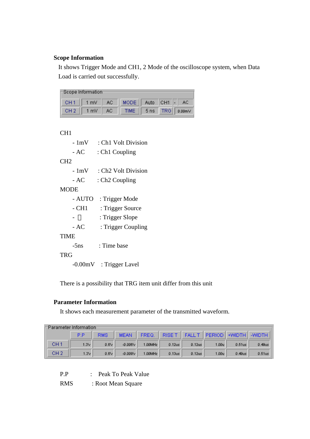#### **Scope Information**

It shows Trigger Mode and CH1, 2 Mode of the oscilloscope system, when Data Load is carried out successfully.

| $\sqsubset$ Scope Information: |                    |                                |  |                      |
|--------------------------------|--------------------|--------------------------------|--|----------------------|
|                                |                    | CH1 1 mV AC MODE Auto CH1 - AC |  |                      |
|                                | $CH2$    1 mV   AC |                                |  | TIME 5 ns TRG 0.00mV |

CH1

- 1mV : Ch1 Volt Division
- AC : Ch1 Coupling

CH2

- 1mV : Ch2 Volt Division
- AC : Ch<sub>2</sub> Coupling

MODE

- AUTO : Trigger Mode
- CH1 : Trigger Source
- : Trigger Slope
- AC : Trigger Coupling

TIME

-5ns : Time base

**TRG** 

-0.00mV : Trigger Lavel

There is a possibility that TRG item unit differ from this unit

#### **Parameter Information**

It shows each measurement parameter of the transmitted waveform.

| =Parameter Information= |           |            |               |            |           |               |       |                             |           |
|-------------------------|-----------|------------|---------------|------------|-----------|---------------|-------|-----------------------------|-----------|
|                         | <b>PP</b> | <b>RMS</b> | <b>MEAN</b>   | FREQ.      | RISE T    | <b>FALL T</b> |       | <b>PERIOD +WIDTH +WIDTH</b> |           |
| CH <sub>1</sub>         | 1.3V      | 0.6V       | $-0.006 \vee$ | $1.00$ MHz | $0.12$ us | $0.12$ us     | 1.00u | $0.51$ us                   | $0.49$ us |
| CH <sub>2</sub>         | 1.3V      | 0.6V       | $-0.009$      | 1.00MHz    | $0.13$ us | $0.12$ us     | 1.00u | $0.49$ us                   | $0.51$ us |

- P.P : Peak To Peak Value
- RMS : Root Mean Square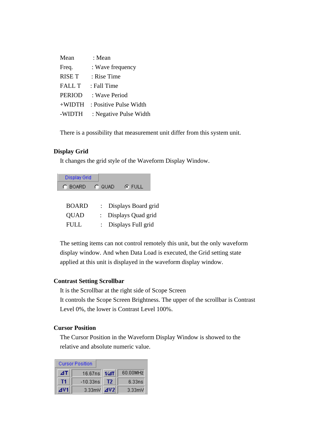| Mean          | : Mean                 |
|---------------|------------------------|
| Freq.         | : Wave frequency       |
| <b>RISE T</b> | : Rise Time            |
| <b>FALL T</b> | : Fall Time            |
| <b>PERIOD</b> | : Wave Period          |
| $+$ WIDTH     | : Positive Pulse Width |
| -WIDTH        | : Negative Pulse Width |

There is a possibility that measurement unit differ from this system unit.

#### **Display Grid**

It changes the grid style of the Waveform Display Window.

Display Grid C BOARD C QUAD  $G$  FULL

| <b>BOARD</b> | : Displays Board grid |
|--------------|-----------------------|
| <b>QUAD</b>  | : Displays Quad grid  |
| FULL         | : Displays Full grid  |

 The setting items can not control remotely this unit, but the only waveform display window. And when Data Load is executed, the Grid setting state applied at this unit is displayed in the waveform display window.

#### **Contrast Setting Scrollbar**

It is the Scrollbar at the right side of Scope Screen

 It controls the Scope Screen Brightness. The upper of the scrollbar is Contrast Level 0%, the lower is Contrast Level 100%.

#### **Cursor Position**

 The Cursor Position in the Waveform Display Window is showed to the relative and absolute numeric value.

|     | <b>Cursor Position</b> |      |           |
|-----|------------------------|------|-----------|
| ΔT  | 16.67ns                | 1/4T | 60.00MHz  |
| T1  | $-10.33ns$             | T2   | 6.33ns    |
| 4V1 | 3.33mV 4V2             |      | $3.33m$ V |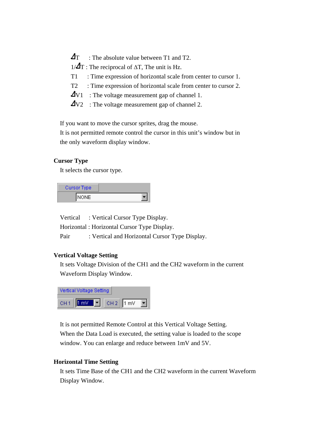- $\Delta$ T : The absolute value between T1 and T2.
- $1/\Delta T$ : The reciprocal of  $\Delta T$ , The unit is Hz.
- T1 : Time expression of horizontal scale from center to cursor 1.
- T2 : Time expression of horizontal scale from center to cursor 2.
- $\Delta$ V1 : The voltage measurement gap of channel 1.
- V2 : The voltage measurement gap of channel 2.

If you want to move the cursor sprites, drag the mouse.

 It is not permitted remote control the cursor in this unit's window but in the only waveform display window.

#### **Cursor Type**

It selects the cursor type.

| Cursor Type |  |
|-------------|--|
| NONE        |  |

Vertical : Vertical Cursor Type Display.

Horizontal : Horizontal Cursor Type Display.

Pair : Vertical and Horizontal Cursor Type Display.

#### **Vertical Voltage Setting**

 It sets Voltage Division of the CH1 and the CH2 waveform in the current Waveform Display Window.



 It is not permitted Remote Control at this Vertical Voltage Setting. When the Data Load is executed, the setting value is loaded to the scope window. You can enlarge and reduce between 1mV and 5V.

#### **Horizontal Time Setting**

 It sets Time Base of the CH1 and the CH2 waveform in the current Waveform Display Window.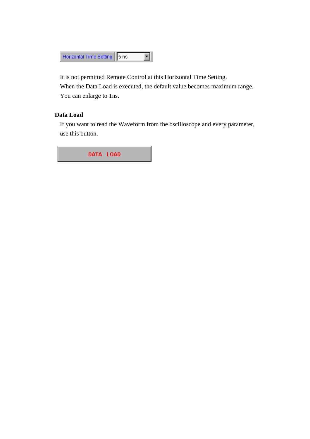

 It is not permitted Remote Control at this Horizontal Time Setting. When the Data Load is executed, the default value becomes maximum range. You can enlarge to 1ns.

#### **Data Load**

 If you want to read the Waveform from the oscilloscope and every parameter, use this button.

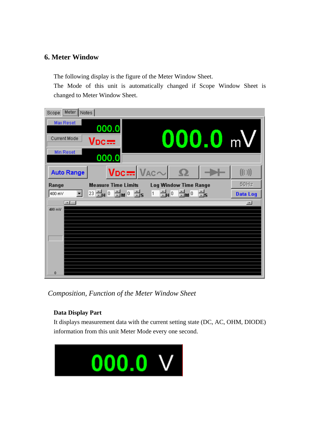## **6. Meter Window**

The following display is the figure of the Meter Window Sheet.

The Mode of this unit is automatically changed if Scope Window Sheet is changed to Meter Window Sheet.

| Scope Meter Notes                                                                                                                              |                 |
|------------------------------------------------------------------------------------------------------------------------------------------------|-----------------|
| Max Reset<br>000.0                                                                                                                             |                 |
| $000.0$ mV<br><b>Current Mode</b><br>$\sf Voc$ :::::                                                                                           |                 |
| Min Reset<br>000.0                                                                                                                             |                 |
| $Vpc =  V_{AC} \sim   \Omega$<br><b>Auto Range</b>                                                                                             | ((()))          |
| <b>Measure Time Limits</b><br><b>Log Window Time Range</b><br>Range                                                                            | $50$ Hz         |
| $23\frac{11}{10}$ H $0\frac{11}{10}$ M $0\frac{11}{10}$ S $10\frac{11}{10}$ H $0\frac{11}{10}$ S $0\frac{11}{10}$ S $0\frac{11}{10}$<br>400 mV | <b>Data Log</b> |
| $\overline{1}$                                                                                                                                 | ⊥ਾ              |
| 400 mV                                                                                                                                         |                 |
|                                                                                                                                                |                 |
|                                                                                                                                                |                 |
|                                                                                                                                                |                 |
|                                                                                                                                                |                 |
|                                                                                                                                                |                 |
| $\bf{0}$                                                                                                                                       |                 |

 *Composition, Function of the Meter Window Sheet* 

## **Data Display Part**

It displays measurement data with the current setting state (DC, AC, OHM, DIODE) information from this unit Meter Mode every one second.

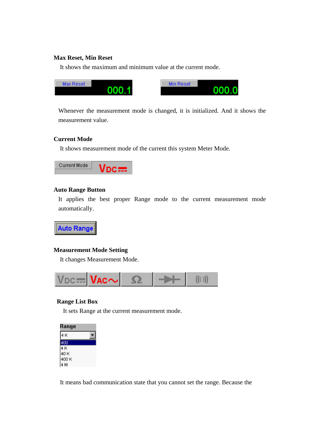#### **Max Reset, Min Reset**

It shows the maximum and minimum value at the current mode.

| Max Reset | Min Reset |
|-----------|-----------|
| Z.        | 0         |
| იიი       | იიი       |

Whenever the measurement mode is changed, it is initialized. And it shows the measurement value.

#### **Current Mode**

It shows measurement mode of the current this system Meter Mode.



#### **Auto Range Button**

It applies the best proper Range mode to the current measurement mode automatically.



#### **Measurement Mode Setting**

It changes Measurement Mode.



#### **Range List Box**

It sets Range at the current measurement mode.



It means bad communication state that you cannot set the range. Because the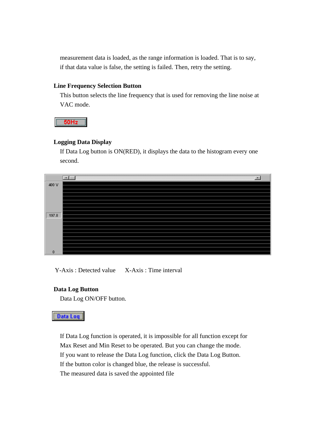measurement data is loaded, as the range information is loaded. That is to say, if that data value is false, the setting is failed. Then, retry the setting.

#### **Line Frequency Selection Button**

 This button selects the line frequency that is used for removing the line noise at VAC mode.

 $50Hz$ 

#### **Logging Data Display**

 If Data Log button is ON(RED), it displays the data to the histogram every one second.



Y-Axis : Detected value X-Axis : Time interval

#### **Data Log Button**

Data Log ON/OFF button.

#### **Data Log**

 If Data Log function is operated, it is impossible for all function except for Max Reset and Min Reset to be operated. But you can change the mode. If you want to release the Data Log function, click the Data Log Button. If the button color is changed blue, the release is successful. The measured data is saved the appointed file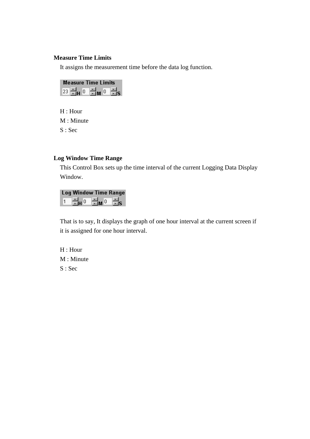#### **Measure Time Limits**

It assigns the measurement time before the data log function.

| <b>Measure Time Limits</b> |                 |  |  |
|----------------------------|-----------------|--|--|
| e. 0 F                     | $A_{-0}$ of $V$ |  |  |

 H : Hour M : Minute S : Sec

#### **Log Window Time Range**

 This Control Box sets up the time interval of the current Logging Data Display Window.

#### **Log Window Time Range**

¦∺<sub>M</sub>⊙  $\Xi_{\mathrm{S}}$ ]≑µ ∘  $\vert$ 1

 That is to say, It displays the graph of one hour interval at the current screen if it is assigned for one hour interval.

 H : Hour M : Minute S : Sec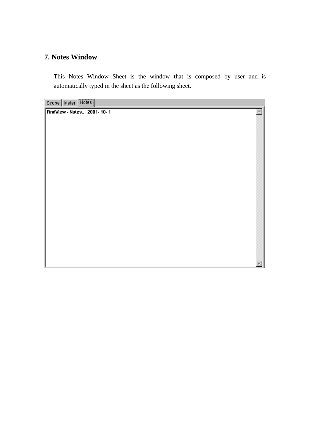## **7. Notes Window**

This Notes Window Sheet is the window that is composed by user and is automatically typed in the sheet as the following sheet.

 $\mathbb{A}$ 

Scope | Meter | Notes |

FindView - Notes.. 2001-10-1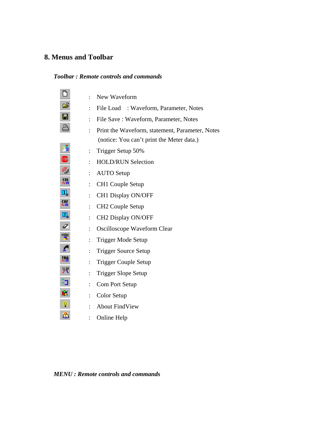# **8. Menus and Toolbar**

## *Toolbar : Remote controls and commands*

| n              | $\ddot{\cdot}$ | New Waveform                                                                                 |
|----------------|----------------|----------------------------------------------------------------------------------------------|
| É              |                | File Load : Waveform, Parameter, Notes                                                       |
| $\blacksquare$ | $\ddot{\cdot}$ | File Save: Waveform, Parameter, Notes                                                        |
| A              | $\ddot{\cdot}$ | Print the Waveform, statement, Parameter, Notes<br>(notice: You can't print the Meter data.) |
| ā              | $\ddot{\cdot}$ | Trigger Setup 50%                                                                            |
| ⅏              | $\ddot{\cdot}$ | <b>HOLD/RUN Selection</b>                                                                    |
| Æ,             | $\ddot{\cdot}$ | <b>AUTO</b> Setup                                                                            |
| 011<br>사료      | $\ddot{\cdot}$ | <b>CH1 Couple Setup</b>                                                                      |
| 回              | $\ddot{\cdot}$ | CH1 Display ON/OFF                                                                           |
| "−             | $\ddot{\cdot}$ | CH <sub>2</sub> Couple Setup                                                                 |
| 0              | $\ddot{\cdot}$ | CH2 Display ON/OFF                                                                           |
| Q              | $\ddot{\cdot}$ | Oscilloscope Waveform Clear                                                                  |
| <b>MODE</b>    | $\ddot{\cdot}$ | Trigger Mode Setup                                                                           |
|                | $\ddot{\cdot}$ | <b>Trigger Source Setup</b>                                                                  |
|                | $\ddot{\cdot}$ | <b>Trigger Couple Setup</b>                                                                  |
| 跁              | $\ddot{\cdot}$ | Trigger Slope Setup                                                                          |
| ËJ             | $\ddot{\cdot}$ | Com Port Setup                                                                               |
| $\mathbf{e}$   | $\ddot{\cdot}$ | Color Setup                                                                                  |
| P.             |                | <b>About FindView</b>                                                                        |
| ä              |                | Online Help                                                                                  |

 *MENU : Remote controls and commands*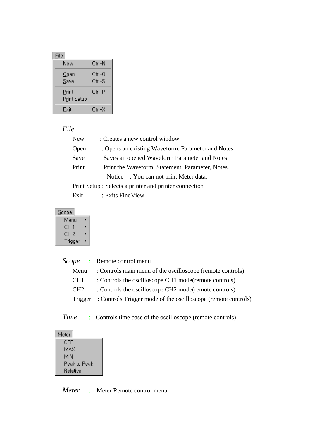| <b>File</b>          |                  |
|----------------------|------------------|
| New                  | Ctrl+N           |
| $\Omega$ pen<br>Save | Ctrl+0<br>Ctrl+S |
| Print<br>Print Setup | Ctrl+P           |
| Exit                 | Ctrl+X           |

## *File*

| <b>New</b> | : Creates a new control window.                        |
|------------|--------------------------------------------------------|
| Open       | : Opens an existing Waveform, Parameter and Notes.     |
| Save       | : Saves an opened Waveform Parameter and Notes.        |
| Print      | : Print the Waveform, Statement, Parameter, Notes.     |
|            | Notice : You can not print Meter data.                 |
|            | Print Setup : Selects a printer and printer connection |
| Exit       | : Exits FindView                                       |

| <u>S</u> cope |   |
|---------------|---|
| Menu          | ▶ |
| CH 1          | ▶ |
| CH 2          | ь |
| Trigger       | ▶ |

|                 | <i>Scope</i> : Remote control menu                                   |
|-----------------|----------------------------------------------------------------------|
| Menu            | : Controls main menu of the oscilloscope (remote controls)           |
| CH <sub>1</sub> | : Controls the oscilloscope CH1 mode(remote controls)                |
| CH <sub>2</sub> | : Controls the oscilloscope CH2 mode(remote controls)                |
|                 | Trigger: Controls Trigger mode of the oscilloscope (remote controls) |
|                 |                                                                      |

*Time* : Controls time base of the oscilloscope (remote controls)

| Meter    |              |
|----------|--------------|
| OFF      |              |
| MAX      |              |
| MIN      |              |
|          | Peak to Peak |
| Relative |              |

*Meter* : Meter Remote control menu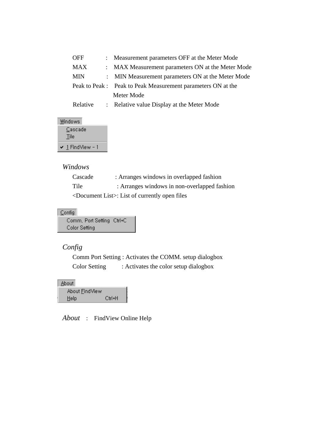| <b>OFF</b> | : Measurement parameters OFF at the Meter Mode               |
|------------|--------------------------------------------------------------|
| <b>MAX</b> | : MAX Measurement parameters ON at the Meter Mode            |
| <b>MIN</b> | : MIN Measurement parameters ON at the Meter Mode            |
|            | Peak to Peak : Peak to Peak Measurement parameters ON at the |
|            | Meter Mode                                                   |
| Relative   | : Relative value Display at the Meter Mode                   |

Windows

|   | Cascade<br><b>Tile</b> |
|---|------------------------|
| v | -1 FindView - 1        |

## *Windows*

| Cascade | : Arranges windows in overlapped fashion                   |
|---------|------------------------------------------------------------|
| Tile    | : Arranges windows in non-overlapped fashion               |
|         | $\leq$ Document List $\geq$ : List of currently open files |

#### $Config$

Comm, Port Setting Ctrl+C Color Setting

## *Config*

 Comm Port Setting : Activates the COMM. setup dialogbox Color Setting : Activates the color setup dialogbox

| About          |           |
|----------------|-----------|
| About FindView |           |
| Help           | $C$ trl+H |

 *About* : FindView Online Help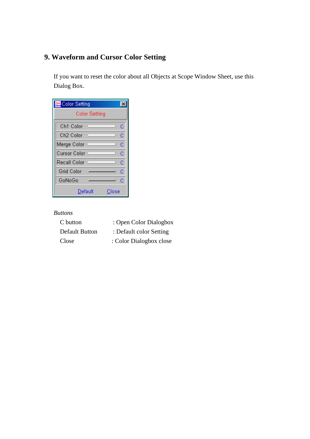# **9. Waveform and Cursor Color Setting**

 If you want to reset the color about all Objects at Scope Window Sheet, use this Dialog Box.

| Color Setting        |   |
|----------------------|---|
| <b>Color Setting</b> |   |
| Ch1 Color            | c |
| Ch2 Color            | Ć |
| Merge Color          | Č |
| Cursor Color         | Ć |
| Recall Color         | Č |
| <b>Grid Color</b>    | Č |
| GoNoGo               | Ć |
| Default<br>Close     |   |

#### *Buttons*

| C button              | : Open Color Dialogbox  |
|-----------------------|-------------------------|
| <b>Default Button</b> | : Default color Setting |
| Close                 | : Color Dialogbox close |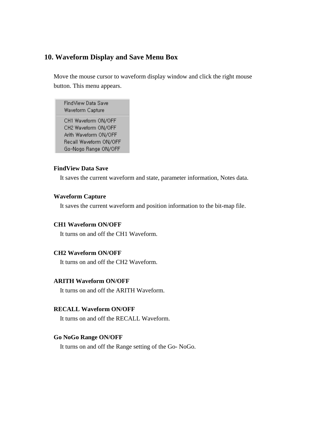## **10. Waveform Display and Save Menu Box**

 Move the mouse cursor to waveform display window and click the right mouse button. This menu appears.

FindView Data Save Waveform Capture

CH1 Waveform ON/OFF CH2 Waveform ON/OFF Arith Waveform ON/OFF Recall Waveform ON/OFF Go-Nogo Range ON/OFF

#### **FindView Data Save**

It saves the current waveform and state, parameter information, Notes data.

#### **Waveform Capture**

It saves the current waveform and position information to the bit-map file.

#### **CH1 Waveform ON/OFF**

It turns on and off the CH1 Waveform.

### **CH2 Waveform ON/OFF**

It turns on and off the CH2 Waveform.

#### **ARITH Waveform ON/OFF**

It turns on and off the ARITH Waveform.

#### **RECALL Waveform ON/OFF**

It turns on and off the RECALL Waveform.

#### **Go NoGo Range ON/OFF**

It turns on and off the Range setting of the Go- NoGo.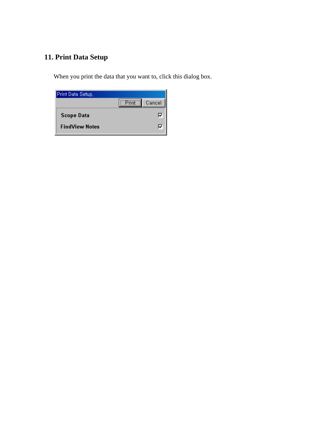# **11. Print Data Setup**

When you print the data that you want to, click this dialog box.

| Print Data Setup,     |                               |
|-----------------------|-------------------------------|
|                       | $\boxed{\text{Print}}$ Cancel |
| <b>Scope Data</b>     | M                             |
| <b>FindView Notes</b> |                               |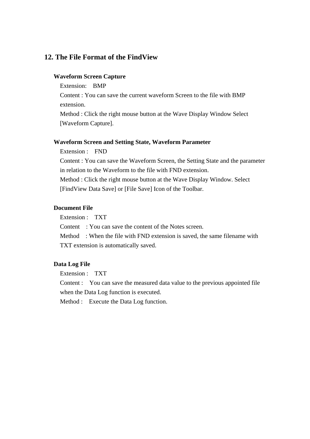## **12. The File Format of the FindView**

#### **Waveform Screen Capture**

Extension: BMP

 Content : You can save the current waveform Screen to the file with BMP extension.

 Method : Click the right mouse button at the Wave Display Window Select [Waveform Capture].

#### **Waveform Screen and Setting State, Waveform Parameter**

Extension : FND

 Content : You can save the Waveform Screen, the Setting State and the parameter in relation to the Waveform to the file with FND extension.

 Method : Click the right mouse button at the Wave Display Window. Select [FindView Data Save] or [File Save] Icon of the Toolbar.

#### **Document File**

Extension : TXT

Content : You can save the content of the Notes screen.

 Method : When the file with FND extension is saved, the same filename with TXT extension is automatically saved.

#### **Data Log File**

Extension : TXT

 Content : You can save the measured data value to the previous appointed file when the Data Log function is executed.

Method : Execute the Data Log function.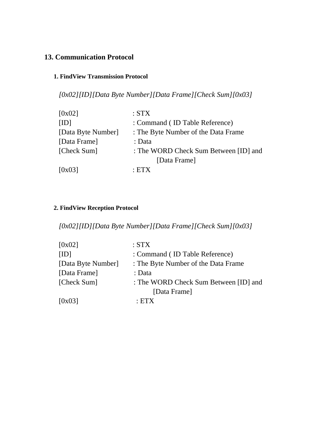## **13. Communication Protocol**

## **1. FindView Transmission Protocol**

 *[0x02][ID][Data Byte Number][Data Frame][Check Sum][0x03]* 

| : Command (ID Table Reference)<br>[ID]<br>[Data Byte Number]<br>: The Byte Number of the Data Frame<br>[Data Frame]<br>: Data<br>[Check Sum]<br>[Data Frame]<br>[0x03]<br>$\cdot$ FTY | [0x02] | :STX                                  |
|---------------------------------------------------------------------------------------------------------------------------------------------------------------------------------------|--------|---------------------------------------|
|                                                                                                                                                                                       |        |                                       |
|                                                                                                                                                                                       |        |                                       |
|                                                                                                                                                                                       |        |                                       |
|                                                                                                                                                                                       |        | : The WORD Check Sum Between [ID] and |
|                                                                                                                                                                                       |        |                                       |
|                                                                                                                                                                                       |        |                                       |

## **2. FindView Reception Protocol**

 *[0x02][ID][Data Byte Number][Data Frame][Check Sum][0x03]* 

| [0x02]             | :STX                                  |
|--------------------|---------------------------------------|
| [ID]               | : Command (ID Table Reference)        |
| [Data Byte Number] | : The Byte Number of the Data Frame   |
| [Data Frame]       | : Data                                |
| [Check Sum]        | : The WORD Check Sum Between [ID] and |
|                    | [Data Frame]                          |
| [0x03]             | $\cdot$ FTX                           |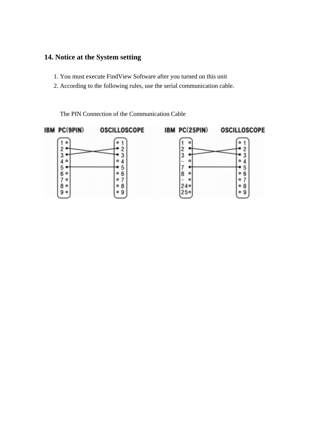# **14. Notice at the System setting**

- 1. You must execute FindView Software after you turned on this unit
- 2. According to the following rules, use the serial communication cable.

The PIN Connection of the Communication Cable